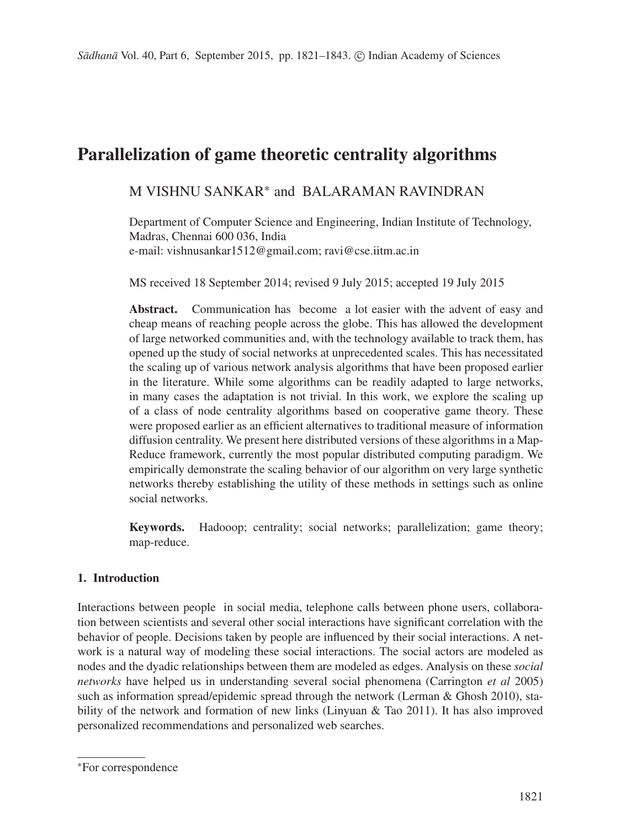# **Parallelization of game theoretic centrality algorithms**

# M VISHNU SANKAR∗ and BALARAMAN RAVINDRAN

Department of Computer Science and Engineering, Indian Institute of Technology, Madras, Chennai 600 036, India e-mail: vishnusankar1512@gmail.com; ravi@cse.iitm.ac.in

MS received 18 September 2014; revised 9 July 2015; accepted 19 July 2015

Abstract. Communication has become a lot easier with the advent of easy and cheap means of reaching people across the globe. This has allowed the development of large networked communities and, with the technology available to track them, has opened up the study of social networks at unprecedented scales. This has necessitated the scaling up of various network analysis algorithms that have been proposed earlier in the literature. While some algorithms can be readily adapted to large networks, in many cases the adaptation is not trivial. In this work, we explore the scaling up of a class of node centrality algorithms based on cooperative game theory. These were proposed earlier as an efficient alternatives to traditional measure of information diffusion centrality. We present here distributed versions of these algorithms in a Map-Reduce framework, currently the most popular distributed computing paradigm. We empirically demonstrate the scaling behavior of our algorithm on very large synthetic networks thereby establishing the utility of these methods in settings such as online social networks.

**Keywords.** Hadooop; centrality; social networks; parallelization; game theory; map-reduce.

# **1. Introduction**

Interactions between people in social media, telephone calls between phone users, collaboration between scientists and several other social interactions have significant correlation with the behavior of people. Decisions taken by people are influenced by their social interactions. A network is a natural way of modeling these social interactions. The social actors are modeled as nodes and the dyadic relationships between them are modeled as edges. Analysis on these *social networks* have helped us in understanding several social phenomena (Carrington *et al* 2005) such as information spread/epidemic spread through the network (Lerman  $\&$  Ghosh 2010), stability of the network and formation of new links (Linyuan & Tao 2011). It has also improved personalized recommendations and personalized web searches.

<sup>∗</sup>For correspondence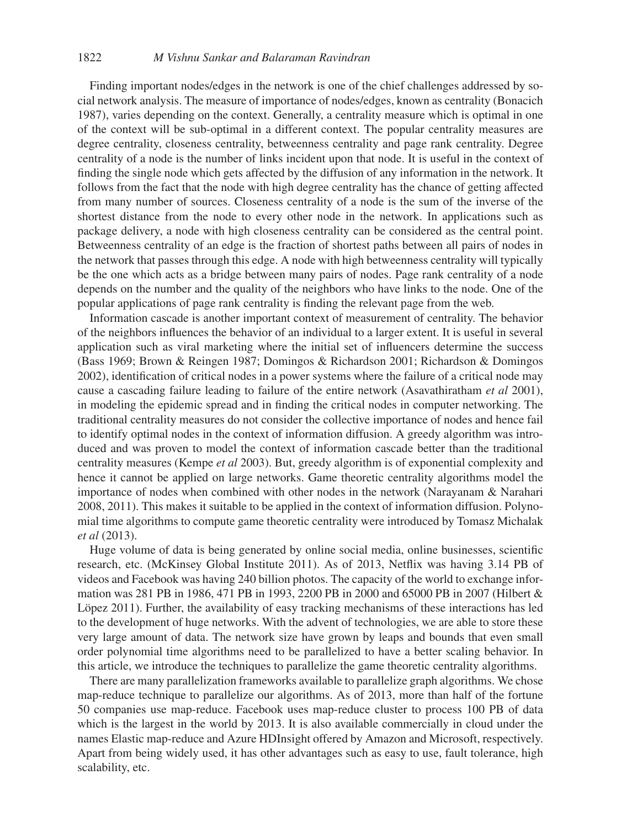### 1822 *M Vishnu Sankar and Balaraman Ravindran*

Finding important nodes/edges in the network is one of the chief challenges addressed by social network analysis. The measure of importance of nodes/edges, known as centrality (Bonacich 1987), varies depending on the context. Generally, a centrality measure which is optimal in one of the context will be sub-optimal in a different context. The popular centrality measures are degree centrality, closeness centrality, betweenness centrality and page rank centrality. Degree centrality of a node is the number of links incident upon that node. It is useful in the context of finding the single node which gets affected by the diffusion of any information in the network. It follows from the fact that the node with high degree centrality has the chance of getting affected from many number of sources. Closeness centrality of a node is the sum of the inverse of the shortest distance from the node to every other node in the network. In applications such as package delivery, a node with high closeness centrality can be considered as the central point. Betweenness centrality of an edge is the fraction of shortest paths between all pairs of nodes in the network that passes through this edge. A node with high betweenness centrality will typically be the one which acts as a bridge between many pairs of nodes. Page rank centrality of a node depends on the number and the quality of the neighbors who have links to the node. One of the popular applications of page rank centrality is finding the relevant page from the web.

Information cascade is another important context of measurement of centrality. The behavior of the neighbors influences the behavior of an individual to a larger extent. It is useful in several application such as viral marketing where the initial set of influencers determine the success (Bass 1969; Brown & Reingen 1987; Domingos & Richardson 2001; Richardson & Domingos 2002), identification of critical nodes in a power systems where the failure of a critical node may cause a cascading failure leading to failure of the entire network (Asavathiratham *et al* 2001), in modeling the epidemic spread and in finding the critical nodes in computer networking. The traditional centrality measures do not consider the collective importance of nodes and hence fail to identify optimal nodes in the context of information diffusion. A greedy algorithm was introduced and was proven to model the context of information cascade better than the traditional centrality measures (Kempe *et al* 2003). But, greedy algorithm is of exponential complexity and hence it cannot be applied on large networks. Game theoretic centrality algorithms model the importance of nodes when combined with other nodes in the network (Narayanam & Narahari 2008, 2011). This makes it suitable to be applied in the context of information diffusion. Polynomial time algorithms to compute game theoretic centrality were introduced by Tomasz Michalak *et al* (2013).

Huge volume of data is being generated by online social media, online businesses, scientific research, etc. (McKinsey Global Institute 2011). As of 2013, Netflix was having 3.14 PB of videos and Facebook was having 240 billion photos. The capacity of the world to exchange information was 281 PB in 1986, 471 PB in 1993, 2200 PB in 2000 and 65000 PB in 2007 (Hilbert & Löpez 2011). Further, the availability of easy tracking mechanisms of these interactions has led to the development of huge networks. With the advent of technologies, we are able to store these very large amount of data. The network size have grown by leaps and bounds that even small order polynomial time algorithms need to be parallelized to have a better scaling behavior. In this article, we introduce the techniques to parallelize the game theoretic centrality algorithms.

There are many parallelization frameworks available to parallelize graph algorithms. We chose map-reduce technique to parallelize our algorithms. As of 2013, more than half of the fortune 50 companies use map-reduce. Facebook uses map-reduce cluster to process 100 PB of data which is the largest in the world by 2013. It is also available commercially in cloud under the names Elastic map-reduce and Azure HDInsight offered by Amazon and Microsoft, respectively. Apart from being widely used, it has other advantages such as easy to use, fault tolerance, high scalability, etc.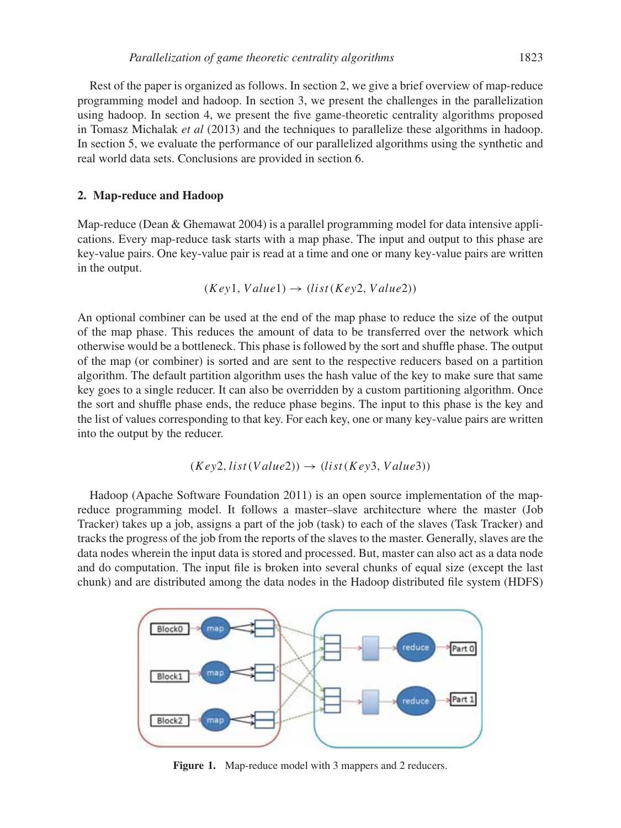Rest of the paper is organized as follows. In section 2, we give a brief overview of map-reduce programming model and hadoop. In section 3, we present the challenges in the parallelization using hadoop. In section 4, we present the five game-theoretic centrality algorithms proposed in Tomasz Michalak *et al* (2013) and the techniques to parallelize these algorithms in hadoop. In section 5, we evaluate the performance of our parallelized algorithms using the synthetic and real world data sets. Conclusions are provided in section 6.

#### **2. Map-reduce and Hadoop**

Map-reduce (Dean & Ghemawat 2004) is a parallel programming model for data intensive applications. Every map-reduce task starts with a map phase. The input and output to this phase are key-value pairs. One key-value pair is read at a time and one or many key-value pairs are written in the output.

$$
(Key1, Value1) \rightarrow (list (Key2, Value2))
$$

An optional combiner can be used at the end of the map phase to reduce the size of the output of the map phase. This reduces the amount of data to be transferred over the network which otherwise would be a bottleneck. This phase is followed by the sort and shuffle phase. The output of the map (or combiner) is sorted and are sent to the respective reducers based on a partition algorithm. The default partition algorithm uses the hash value of the key to make sure that same key goes to a single reducer. It can also be overridden by a custom partitioning algorithm. Once the sort and shuffle phase ends, the reduce phase begins. The input to this phase is the key and the list of values corresponding to that key. For each key, one or many key-value pairs are written into the output by the reducer.

$$
(Key2, list(Value2)) \rightarrow (list(Key3, Value3))
$$

Hadoop (Apache Software Foundation 2011) is an open source implementation of the mapreduce programming model. It follows a master–slave architecture where the master (Job Tracker) takes up a job, assigns a part of the job (task) to each of the slaves (Task Tracker) and tracks the progress of the job from the reports of the slaves to the master. Generally, slaves are the data nodes wherein the input data is stored and processed. But, master can also act as a data node and do computation. The input file is broken into several chunks of equal size (except the last chunk) and are distributed among the data nodes in the Hadoop distributed file system (HDFS)



**Figure 1.** Map-reduce model with 3 mappers and 2 reducers.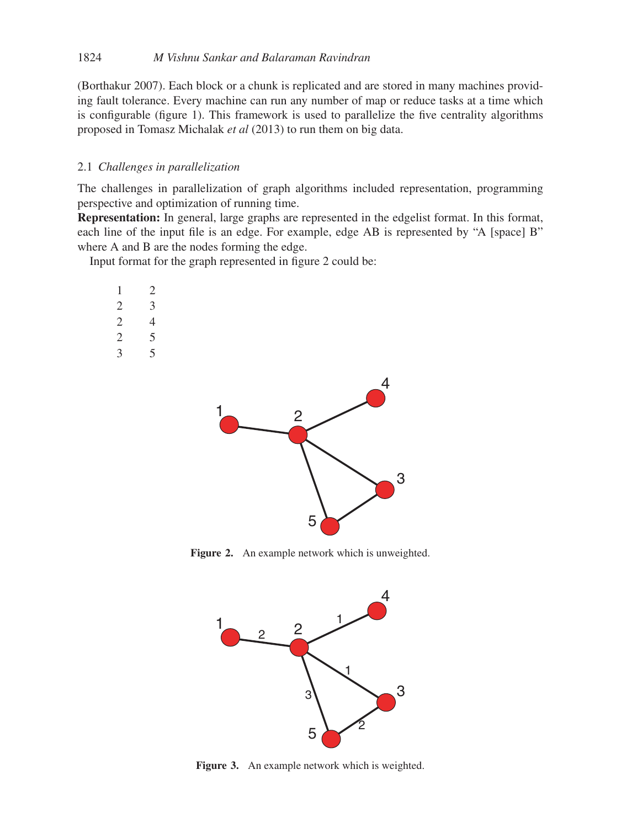(Borthakur 2007). Each block or a chunk is replicated and are stored in many machines providing fault tolerance. Every machine can run any number of map or reduce tasks at a time which is configurable (figure 1). This framework is used to parallelize the five centrality algorithms proposed in Tomasz Michalak *et al* (2013) to run them on big data.

# 2.1 *Challenges in parallelization*

The challenges in parallelization of graph algorithms included representation, programming perspective and optimization of running time.

**Representation:** In general, large graphs are represented in the edgelist format. In this format, each line of the input file is an edge. For example, edge AB is represented by "A [space] B" where A and B are the nodes forming the edge.

Input format for the graph represented in figure 2 could be:

| 1             |  |
|---------------|--|
| $\mathcal{L}$ |  |
| 2             |  |
| 2             |  |
| 2             |  |



**Figure 2.** An example network which is unweighted.



**Figure 3.** An example network which is weighted.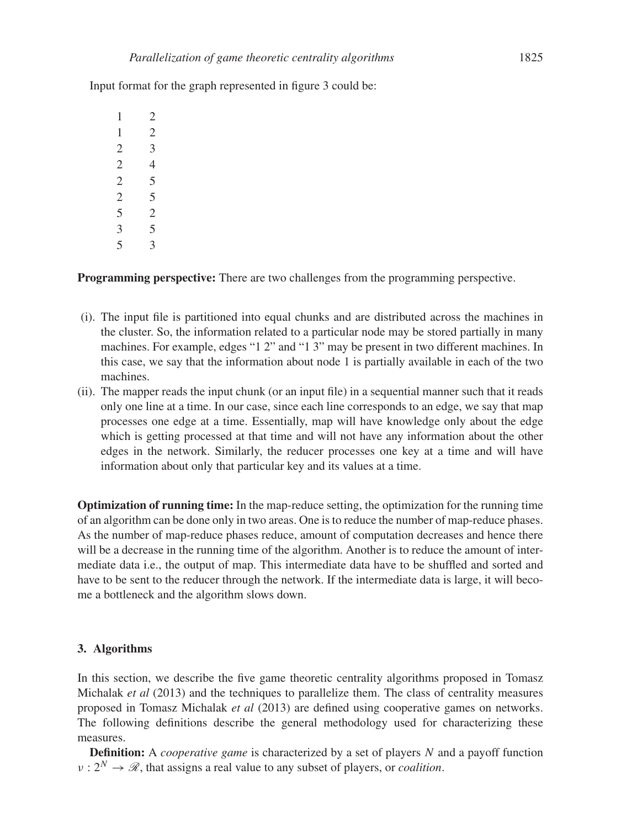Input format for the graph represented in figure 3 could be:

**Programming perspective:** There are two challenges from the programming perspective.

- (i). The input file is partitioned into equal chunks and are distributed across the machines in the cluster. So, the information related to a particular node may be stored partially in many machines. For example, edges "1 2" and "1 3" may be present in two different machines. In this case, we say that the information about node 1 is partially available in each of the two machines.
- (ii). The mapper reads the input chunk (or an input file) in a sequential manner such that it reads only one line at a time. In our case, since each line corresponds to an edge, we say that map processes one edge at a time. Essentially, map will have knowledge only about the edge which is getting processed at that time and will not have any information about the other edges in the network. Similarly, the reducer processes one key at a time and will have information about only that particular key and its values at a time.

**Optimization of running time:** In the map-reduce setting, the optimization for the running time of an algorithm can be done only in two areas. One is to reduce the number of map-reduce phases. As the number of map-reduce phases reduce, amount of computation decreases and hence there will be a decrease in the running time of the algorithm. Another is to reduce the amount of intermediate data i.e., the output of map. This intermediate data have to be shuffled and sorted and have to be sent to the reducer through the network. If the intermediate data is large, it will become a bottleneck and the algorithm slows down.

# **3. Algorithms**

In this section, we describe the five game theoretic centrality algorithms proposed in Tomasz Michalak *et al* (2013) and the techniques to parallelize them. The class of centrality measures proposed in Tomasz Michalak *et al* (2013) are defined using cooperative games on networks. The following definitions describe the general methodology used for characterizing these measures.

**Definition:** A *cooperative game* is characterized by a set of players N and a payoff function  $v: 2^N \to \mathcal{R}$ , that assigns a real value to any subset of players, or *coalition*.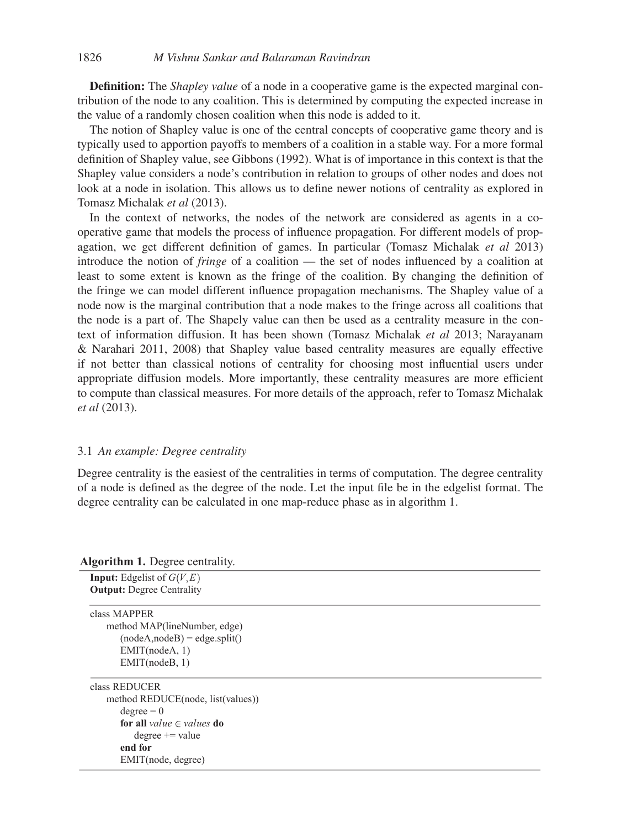**Definition:** The *Shapley value* of a node in a cooperative game is the expected marginal contribution of the node to any coalition. This is determined by computing the expected increase in the value of a randomly chosen coalition when this node is added to it.

The notion of Shapley value is one of the central concepts of cooperative game theory and is typically used to apportion payoffs to members of a coalition in a stable way. For a more formal definition of Shapley value, see Gibbons (1992). What is of importance in this context is that the Shapley value considers a node's contribution in relation to groups of other nodes and does not look at a node in isolation. This allows us to define newer notions of centrality as explored in Tomasz Michalak *et al* (2013).

In the context of networks, the nodes of the network are considered as agents in a cooperative game that models the process of influence propagation. For different models of propagation, we get different definition of games. In particular (Tomasz Michalak *et al* 2013) introduce the notion of *fringe* of a coalition — the set of nodes influenced by a coalition at least to some extent is known as the fringe of the coalition. By changing the definition of the fringe we can model different influence propagation mechanisms. The Shapley value of a node now is the marginal contribution that a node makes to the fringe across all coalitions that the node is a part of. The Shapely value can then be used as a centrality measure in the context of information diffusion. It has been shown (Tomasz Michalak *et al* 2013; Narayanam & Narahari 2011, 2008) that Shapley value based centrality measures are equally effective if not better than classical notions of centrality for choosing most influential users under appropriate diffusion models. More importantly, these centrality measures are more efficient to compute than classical measures. For more details of the approach, refer to Tomasz Michalak *et al* (2013).

### 3.1 *An example: Degree centrality*

Degree centrality is the easiest of the centralities in terms of computation. The degree centrality of a node is defined as the degree of the node. Let the input file be in the edgelist format. The degree centrality can be calculated in one map-reduce phase as in algorithm 1.

**Algorithm 1.** Degree centrality.

| мgөниши т. дедее сепиану.                   |
|---------------------------------------------|
| <b>Input:</b> Edgelist of $G(V, E)$         |
| <b>Output:</b> Degree Centrality            |
| class MAPPER                                |
| method MAP(lineNumber, edge)                |
| $(nodeA, nodeB) = edge.split()$             |
| EMIT(nodeA, 1)                              |
| EMIT(nodeB, 1)                              |
| class REDUCER                               |
| method REDUCE(node, list(values))           |
| $degree = 0$                                |
| <b>for all</b> value $\in$ values <b>do</b> |
| $degree += value$                           |
| end for                                     |
| EMIT(node, degree)                          |
|                                             |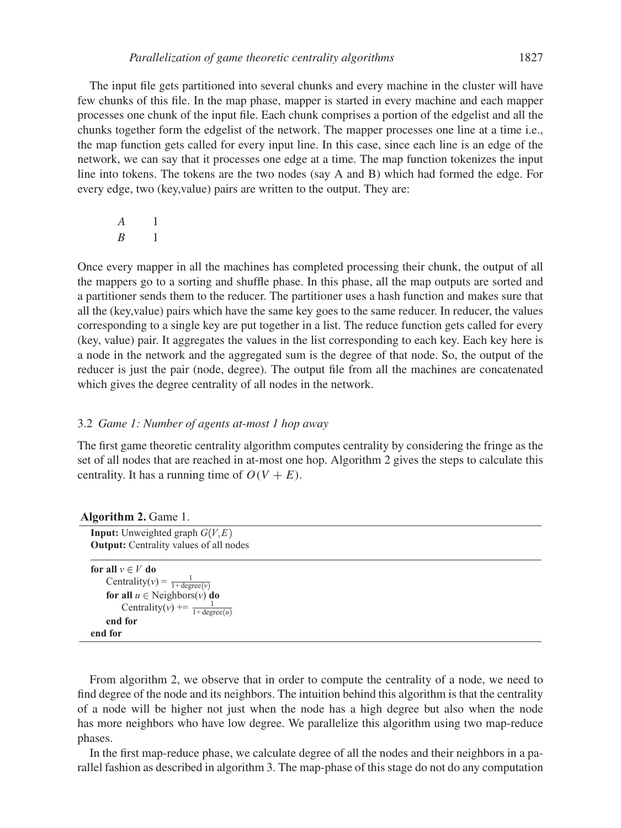The input file gets partitioned into several chunks and every machine in the cluster will have few chunks of this file. In the map phase, mapper is started in every machine and each mapper processes one chunk of the input file. Each chunk comprises a portion of the edgelist and all the chunks together form the edgelist of the network. The mapper processes one line at a time i.e., the map function gets called for every input line. In this case, since each line is an edge of the network, we can say that it processes one edge at a time. The map function tokenizes the input line into tokens. The tokens are the two nodes (say A and B) which had formed the edge. For every edge, two (key,value) pairs are written to the output. They are:

A 1  $B = 1$ 

Once every mapper in all the machines has completed processing their chunk, the output of all the mappers go to a sorting and shuffle phase. In this phase, all the map outputs are sorted and a partitioner sends them to the reducer. The partitioner uses a hash function and makes sure that all the (key,value) pairs which have the same key goes to the same reducer. In reducer, the values corresponding to a single key are put together in a list. The reduce function gets called for every (key, value) pair. It aggregates the values in the list corresponding to each key. Each key here is a node in the network and the aggregated sum is the degree of that node. So, the output of the reducer is just the pair (node, degree). The output file from all the machines are concatenated which gives the degree centrality of all nodes in the network.

# 3.2 *Game 1: Number of agents at-most 1 hop away*

The first game theoretic centrality algorithm computes centrality by considering the fringe as the set of all nodes that are reached in at-most one hop. Algorithm 2 gives the steps to calculate this centrality. It has a running time of  $O(V + E)$ .

| <b>Input:</b> Unweighted graph $G(V, E)$              |
|-------------------------------------------------------|
| <b>Output:</b> Centrality values of all nodes         |
|                                                       |
| for all $v \in V$ do                                  |
| Centrality(v) = $\frac{1}{1 + \text{degree}(v)}$      |
| for all $u \in$ Neighbors(v) do                       |
| Centrality( $v$ ) += $\frac{1}{1 + \text{degree}(u)}$ |
| end for                                               |
| end for                                               |

**Algorithm 2.** Game 1.

From algorithm 2, we observe that in order to compute the centrality of a node, we need to find degree of the node and its neighbors. The intuition behind this algorithm is that the centrality of a node will be higher not just when the node has a high degree but also when the node has more neighbors who have low degree. We parallelize this algorithm using two map-reduce phases.

In the first map-reduce phase, we calculate degree of all the nodes and their neighbors in a parallel fashion as described in algorithm 3. The map-phase of this stage do not do any computation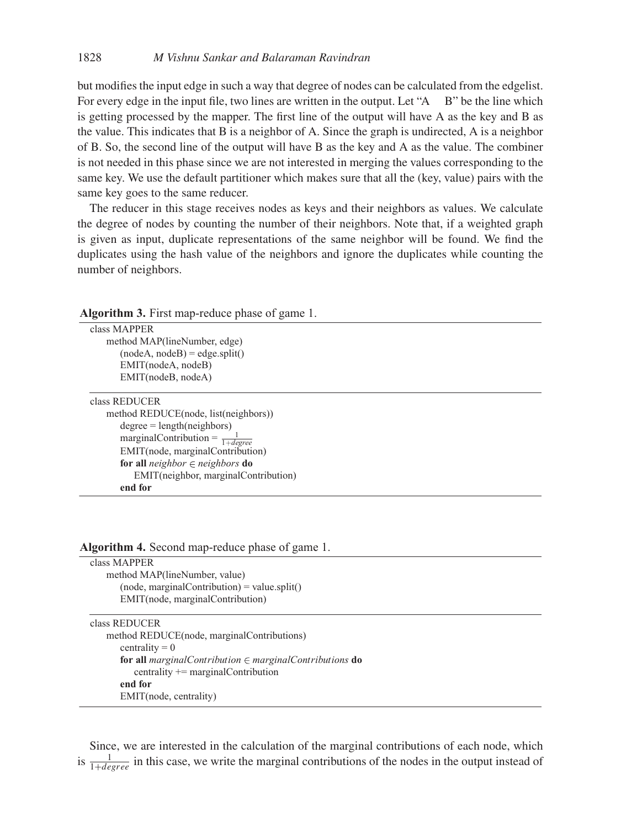but modifies the input edge in such a way that degree of nodes can be calculated from the edgelist. For every edge in the input file, two lines are written in the output. Let "A B" be the line which is getting processed by the mapper. The first line of the output will have A as the key and B as the value. This indicates that B is a neighbor of A. Since the graph is undirected, A is a neighbor of B. So, the second line of the output will have B as the key and A as the value. The combiner is not needed in this phase since we are not interested in merging the values corresponding to the same key. We use the default partitioner which makes sure that all the (key, value) pairs with the same key goes to the same reducer.

The reducer in this stage receives nodes as keys and their neighbors as values. We calculate the degree of nodes by counting the number of their neighbors. Note that, if a weighted graph is given as input, duplicate representations of the same neighbor will be found. We find the duplicates using the hash value of the neighbors and ignore the duplicates while counting the number of neighbors.

| $\triangle$ and $\triangle$ is the mapple of $\triangle$ and $\triangle$ is the set of $\triangle$ and $\triangle$ is the set of $\triangle$ is the set of $\triangle$ is the set of $\triangle$ is the set of $\triangle$ is the set of $\triangle$ is the set of $\triangle$ is the set of $\triangle$ is the set of |
|------------------------------------------------------------------------------------------------------------------------------------------------------------------------------------------------------------------------------------------------------------------------------------------------------------------------|
| class MAPPER                                                                                                                                                                                                                                                                                                           |
| method MAP(lineNumber, edge)                                                                                                                                                                                                                                                                                           |
| $(nodeA, nodeB) = edge.split()$                                                                                                                                                                                                                                                                                        |
| EMIT(nodeA, nodeB)                                                                                                                                                                                                                                                                                                     |
| EMIT(nodeB, nodeA)                                                                                                                                                                                                                                                                                                     |
| class REDUCER                                                                                                                                                                                                                                                                                                          |
| method REDUCE(node, list(neighbors))                                                                                                                                                                                                                                                                                   |
| $degree = length(neighbors)$                                                                                                                                                                                                                                                                                           |
| marginal<br>Contribution = $\frac{1}{1+degree}$                                                                                                                                                                                                                                                                        |
| EMIT(node, marginalContribution)                                                                                                                                                                                                                                                                                       |
| for all <i>neighbor</i> $\in$ <i>neighbors</i> do                                                                                                                                                                                                                                                                      |
| EMIT(neighbor, marginalContribution)                                                                                                                                                                                                                                                                                   |
| end for                                                                                                                                                                                                                                                                                                                |
|                                                                                                                                                                                                                                                                                                                        |

**Algorithm 3.** First map-reduce phase of game 1.

|  |  | Algorithm 4. Second map-reduce phase of game 1. |  |  |  |
|--|--|-------------------------------------------------|--|--|--|
|--|--|-------------------------------------------------|--|--|--|

| class MAPPER           |                                                                             |
|------------------------|-----------------------------------------------------------------------------|
|                        | method MAP(lineNumber, value)                                               |
|                        | $(node, marginalContribution) = value.split()$                              |
|                        | EMIT(node, marginalContribution)                                            |
|                        |                                                                             |
| class REDUCER          |                                                                             |
|                        | method REDUCE(node, marginal Contributions)                                 |
| centrality $= 0$       |                                                                             |
|                        | <b>for all</b> marginal Contribution $\in$ marginal Contributions <b>do</b> |
|                        | centrality $+=$ marginal Contribution                                       |
| end for                |                                                                             |
| EMIT(node, centrality) |                                                                             |
|                        |                                                                             |

Since, we are interested in the calculation of the marginal contributions of each node, which is  $\frac{1}{1+degree}$  in this case, we write the marginal contributions of the nodes in the output instead of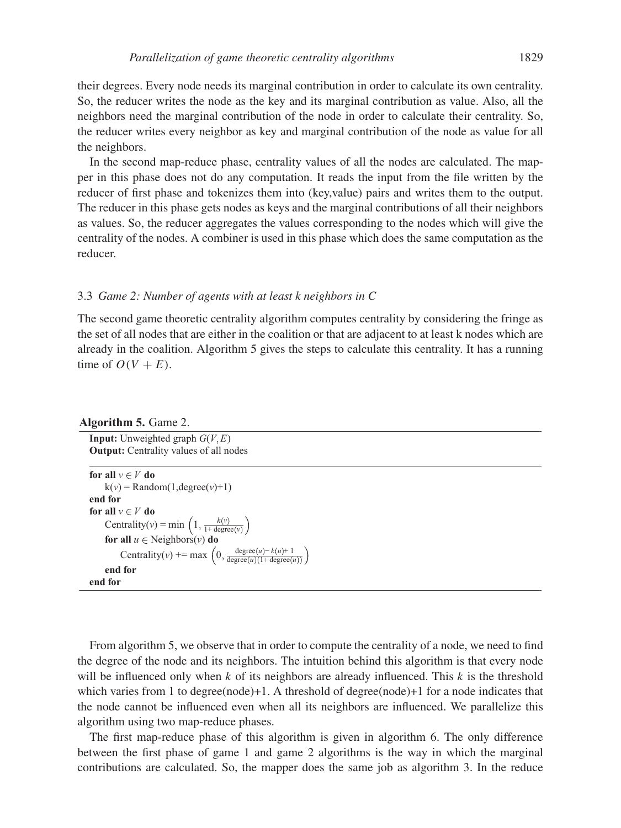their degrees. Every node needs its marginal contribution in order to calculate its own centrality. So, the reducer writes the node as the key and its marginal contribution as value. Also, all the neighbors need the marginal contribution of the node in order to calculate their centrality. So, the reducer writes every neighbor as key and marginal contribution of the node as value for all the neighbors.

In the second map-reduce phase, centrality values of all the nodes are calculated. The mapper in this phase does not do any computation. It reads the input from the file written by the reducer of first phase and tokenizes them into (key, value) pairs and writes them to the output. The reducer in this phase gets nodes as keys and the marginal contributions of all their neighbors as values. So, the reducer aggregates the values corresponding to the nodes which will give the centrality of the nodes. A combiner is used in this phase which does the same computation as the reducer.

#### 3.3 *Game 2: Number of agents with at least k neighbors in C*

The second game theoretic centrality algorithm computes centrality by considering the fringe as the set of all nodes that are either in the coalition or that are adjacent to at least k nodes which are already in the coalition. Algorithm 5 gives the steps to calculate this centrality. It has a running time of  $O(V + E)$ .

#### **Algorithm 5.** Game 2.

**Input:** Unweighted graph  $G(V, E)$ **Output:** Centrality values of all nodes

```
for all v \in V do
     k(v) = Random(1,degree(v)+1)
end for
for all v \in V do
      Centrality(v) = min \left(1, \frac{k(v)}{1 + \text{degree}(v)}\right)for all u \in Neighbors(v) do
            Centrality(v) += max \left(0, \frac{\text{degree}(u) - k(u) + 1}{\text{degree}(u)(1 + \text{degree}(u))}\right)end for
end for
```
From algorithm 5, we observe that in order to compute the centrality of a node, we need to find the degree of the node and its neighbors. The intuition behind this algorithm is that every node will be influenced only when k of its neighbors are already influenced. This  $k$  is the threshold which varies from 1 to degree(node)+1. A threshold of degree(node)+1 for a node indicates that the node cannot be influenced even when all its neighbors are influenced. We parallelize this algorithm using two map-reduce phases.

The first map-reduce phase of this algorithm is given in algorithm 6. The only difference between the first phase of game 1 and game 2 algorithms is the way in which the marginal contributions are calculated. So, the mapper does the same job as algorithm 3. In the reduce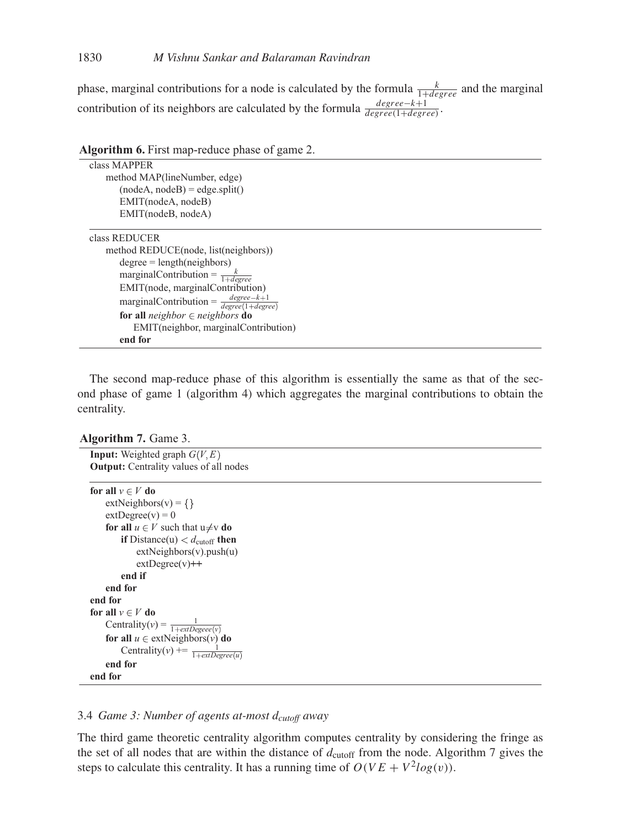phase, marginal contributions for a node is calculated by the formula  $\frac{k}{1+degree}$  and the marginal contribution of its neighbors are calculated by the formula  $\frac{degree-k+1}{degree(1+degree)}$ .

| Algorithm 6. First map-reduce phase of game 2.                   |
|------------------------------------------------------------------|
| class MAPPER                                                     |
| method MAP(lineNumber, edge)                                     |
| $(nodeA, nodeB) = edge.split()$                                  |
| EMIT(nodeA, nodeB)                                               |
| EMIT(nodeB, nodeA)                                               |
| class REDUCER                                                    |
| method REDUCE(node, list(neighbors))                             |
| $degree = length(neighbors)$                                     |
| marginal<br>Contribution = $\frac{k}{1 + degree}$                |
| EMIT(node, marginalContribution)                                 |
| marginal<br>Contribution = $\frac{degree-k+1}{degree(1+degree)}$ |
| for all <i>neighbor</i> $\in$ <i>neighbors</i> do                |
| EMIT(neighbor, marginal Contribution)                            |
| end for                                                          |

**Algorithm 6.** First map-reduce phase of game 2.

The second map-reduce phase of this algorithm is essentially the same as that of the second phase of game 1 (algorithm 4) which aggregates the marginal contributions to obtain the centrality.

#### **Algorithm 7.** Game 3.

```
Input: Weighted graph G(V, E)Output: Centrality values of all nodes
for all v \in V do
    extNeighbors(v) = \{\}extDegree(v) = 0for all u \in V such that u \neq v do
        if Distance(u) d_{\text{cutoff}} then
            extNeighbors(v).push(u)
            extDegree(v)++
        end if
    end for
end for
for all v \in V do
    Centrality(v) = \frac{1}{1 + extDegree(v)}for all u \in \text{extNeighbors}(v) do
        Centrality(v) += \frac{1}{1 + extDegree(u)}end for
end for
```
# 3.4 *Game 3: Number of agents at-most* d*cutoff away*

The third game theoretic centrality algorithm computes centrality by considering the fringe as the set of all nodes that are within the distance of  $d_{\text{cutoff}}$  from the node. Algorithm 7 gives the steps to calculate this centrality. It has a running time of  $O(VE + V^2log(v))$ .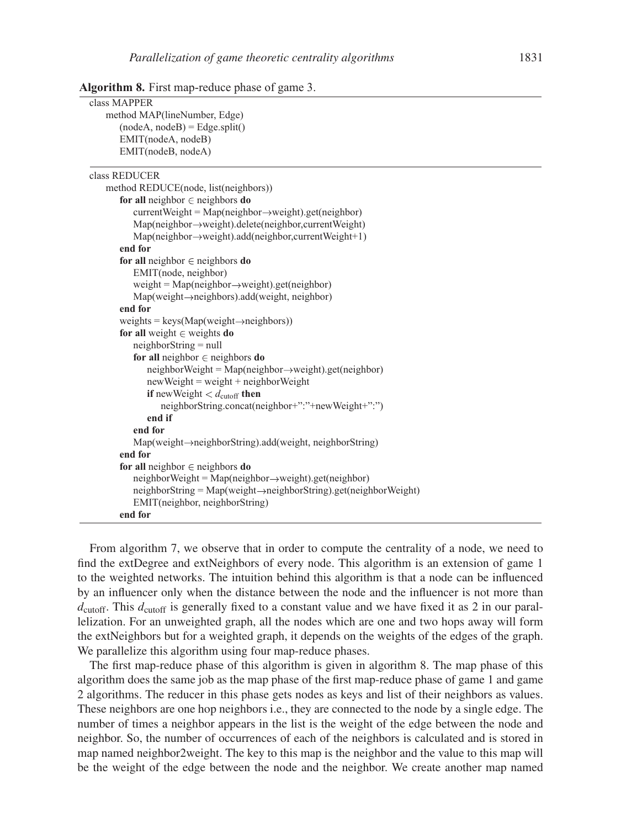| class MAPPER                                                                     |
|----------------------------------------------------------------------------------|
| method MAP(lineNumber, Edge)                                                     |
| $(nodeA, nodeB) = Edge.split()$                                                  |
| EMIT(nodeA, nodeB)                                                               |
| EMIT(nodeB, nodeA)                                                               |
|                                                                                  |
| class REDUCER                                                                    |
| method REDUCE(node, list(neighbors))                                             |
| for all neighbor $\in$ neighbors do                                              |
| $currentWeight = Map(neighbour \rightarrow weight).get(neighbour)$               |
| $Map(neighbour \rightarrow weight)$ . delete(neighbor, current Weight)           |
| $Map(neighbour \rightarrow weight)$ .add(neighbor, current Weight+1)             |
| end for                                                                          |
| for all neighbor $\in$ neighbors do                                              |
| EMIT(node, neighbor)                                                             |
| weight = $Map(neighbour \rightarrow weight).get(neighbour)$                      |
| $Map(weight \rightarrow neighbors)$ .add(weight, neighbor)                       |
| end for                                                                          |
| weights = $keys(Map(weight \rightarrow neighbors))$                              |
| for all weight $\in$ weights do                                                  |
| $neighborString = null$                                                          |
| for all neighbor $\in$ neighbors do                                              |
| $neighborWeight = Map(neighbour \rightarrow weight).get(neighbour)$              |
| $newWeight = weight + neighborWeight$                                            |
| <b>if</b> new Weight $d_{\text{cutoff}}$ then                                    |
| neighborString.concat(neighbor+":"+newWeight+":")                                |
| end if                                                                           |
| end for                                                                          |
| $Map(weight \rightarrow neighborString).add(weight, neighborString)$             |
| end for                                                                          |
| for all neighbor $\in$ neighbors do                                              |
| $neighborWeight = Map(neighbour \rightarrow weight).get(neighbour)$              |
| $neighborString = Map(weight \rightarrow neighborString) . get (neighborWeight)$ |
| EMIT(neighbor, neighborString)                                                   |
| end for                                                                          |

**Algorithm 8.** First map-reduce phase of game 3.

From algorithm 7, we observe that in order to compute the centrality of a node, we need to find the extDegree and extNeighbors of every node. This algorithm is an extension of game 1 to the weighted networks. The intuition behind this algorithm is that a node can be influenced by an influencer only when the distance between the node and the influencer is not more than  $d_{\text{cutoff}}$ . This  $d_{\text{cutoff}}$  is generally fixed to a constant value and we have fixed it as 2 in our parallelization. For an unweighted graph, all the nodes which are one and two hops away will form the extNeighbors but for a weighted graph, it depends on the weights of the edges of the graph. We parallelize this algorithm using four map-reduce phases.

The first map-reduce phase of this algorithm is given in algorithm 8. The map phase of this algorithm does the same job as the map phase of the first map-reduce phase of game 1 and game 2 algorithms. The reducer in this phase gets nodes as keys and list of their neighbors as values. These neighbors are one hop neighbors i.e., they are connected to the node by a single edge. The number of times a neighbor appears in the list is the weight of the edge between the node and neighbor. So, the number of occurrences of each of the neighbors is calculated and is stored in map named neighbor2weight. The key to this map is the neighbor and the value to this map will be the weight of the edge between the node and the neighbor. We create another map named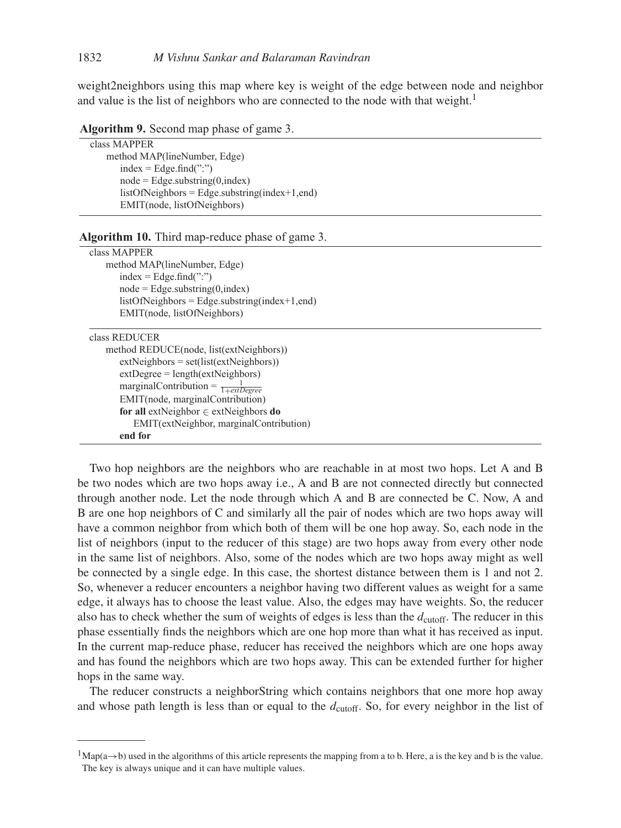weight2neighbors using this map where key is weight of the edge between node and neighbor and value is the list of neighbors who are connected to the node with that weight.<sup>1</sup>

| class MAPPER                                           |
|--------------------------------------------------------|
| method MAP(lineNumber, Edge)                           |
| $index = Edge.find("$                                  |
| $node = Edge.substring(0, index)$                      |
| $listOfNeighbors = Edge.substring/index+1, end)$       |
| EMIT(node, listOfNeighbors)                            |
|                                                        |
| <b>Algorithm 10.</b> Third map-reduce phase of game 3. |
| class MAPPER                                           |
| method MAP(lineNumber, Edge)                           |
| $index = Edge.find("$                                  |
| $node = Edge.substring(0, index)$                      |
| $listOfNeighbors = Edge.substring-index+1, end)$       |
| EMIT(node, listOfNeighbors)                            |
| class REDUCER                                          |
| method REDUCE(node, list(extNeighbors))                |
| $extNeighbors = set(list(extNeighbors))$               |
| $extDegree = length(extNeighbors)$                     |
| marginalContribution = $\frac{1}{1 + extDegree}$       |
| EMIT(node, marginalContribution)                       |
| for all extNeighbor $\in$ extNeighbors do              |
| EMIT(extNeighbor, marginalContribution)                |
| end for                                                |
|                                                        |
|                                                        |

**Algorithm 9.** Second map phase of game 3.

Two hop neighbors are the neighbors who are reachable in at most two hops. Let A and B be two nodes which are two hops away i.e., A and B are not connected directly but connected through another node. Let the node through which A and B are connected be C. Now, A and B are one hop neighbors of C and similarly all the pair of nodes which are two hops away will have a common neighbor from which both of them will be one hop away. So, each node in the list of neighbors (input to the reducer of this stage) are two hops away from every other node in the same list of neighbors. Also, some of the nodes which are two hops away might as well be connected by a single edge. In this case, the shortest distance between them is 1 and not 2. So, whenever a reducer encounters a neighbor having two different values as weight for a same edge, it always has to choose the least value. Also, the edges may have weights. So, the reducer also has to check whether the sum of weights of edges is less than the  $d_{\text{cutoff}}$ . The reducer in this phase essentially finds the neighbors which are one hop more than what it has received as input. In the current map-reduce phase, reducer has received the neighbors which are one hops away and has found the neighbors which are two hops away. This can be extended further for higher hops in the same way.

The reducer constructs a neighborString which contains neighbors that one more hop away and whose path length is less than or equal to the  $d_{\text{cutoff}}$ . So, for every neighbor in the list of

 $1$ Map(a→b) used in the algorithms of this article represents the mapping from a to b. Here, a is the key and b is the value. The key is always unique and it can have multiple values.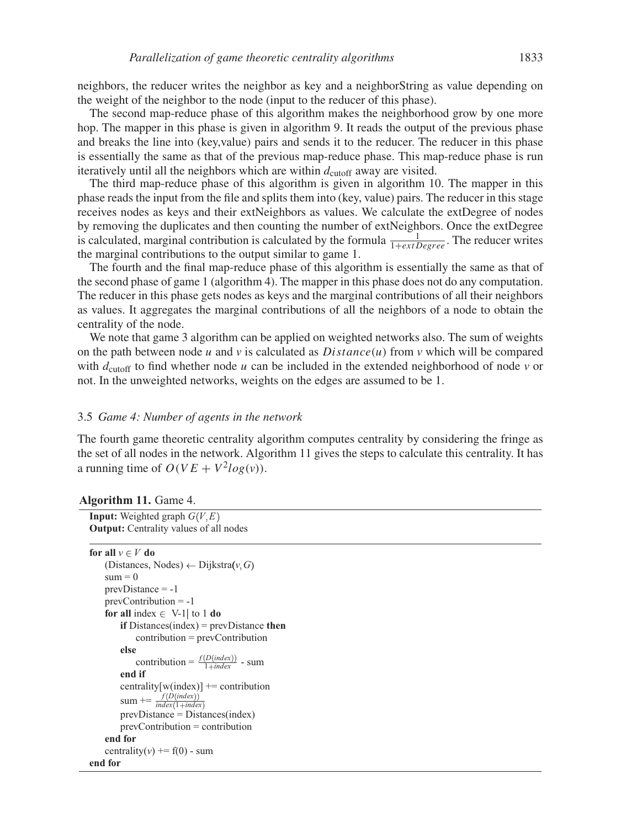neighbors, the reducer writes the neighbor as key and a neighborString as value depending on the weight of the neighbor to the node (input to the reducer of this phase).

The second map-reduce phase of this algorithm makes the neighborhood grow by one more hop. The mapper in this phase is given in algorithm 9. It reads the output of the previous phase and breaks the line into (key,value) pairs and sends it to the reducer. The reducer in this phase is essentially the same as that of the previous map-reduce phase. This map-reduce phase is run iteratively until all the neighbors which are within  $d_{\text{cutoff}}$  away are visited.

The third map-reduce phase of this algorithm is given in algorithm 10. The mapper in this phase reads the input from the file and splits them into (key, value) pairs. The reducer in this stage receives nodes as keys and their extNeighbors as values. We calculate the extDegree of nodes by removing the duplicates and then counting the number of extNeighbors. Once the extDegree is calculated, marginal contribution is calculated by the formula  $\frac{1}{1 + ext \text{Degree}}$ . The reducer writes the marginal contributions to the output similar to game 1.

The fourth and the final map-reduce phase of this algorithm is essentially the same as that of the second phase of game 1 (algorithm 4). The mapper in this phase does not do any computation. The reducer in this phase gets nodes as keys and the marginal contributions of all their neighbors as values. It aggregates the marginal contributions of all the neighbors of a node to obtain the centrality of the node.

We note that game 3 algorithm can be applied on weighted networks also. The sum of weights on the path between node u and v is calculated as  $Distance(u)$  from v which will be compared with  $d_{\text{cutoff}}$  to find whether node u can be included in the extended neighborhood of node v or not. In the unweighted networks, weights on the edges are assumed to be 1.

#### 3.5 *Game 4: Number of agents in the network*

The fourth game theoretic centrality algorithm computes centrality by considering the fringe as the set of all nodes in the network. Algorithm 11 gives the steps to calculate this centrality. It has a running time of  $O(VE + V^2 log(v))$ .

| <b>Algorithm 11.</b> Game 4. |  |  |  |
|------------------------------|--|--|--|
|------------------------------|--|--|--|

**Input:** Weighted graph  $G(V, E)$ **Output:** Centrality values of all nodes

```
for all v \in V do
   (Distances, Nodes) \leftarrow Dijkstra(v, G)
   sum = 0prevDistance = -1
   prevContribution = -1
   for all index \in V-1| to 1 do
       if Distances(index) = prevDistance then
            contribution = prevContribution
       else
            contribution = \frac{f(Dʻindex)) - sumend if
        centrality[w(index)] += contribution
        sum \neq \frac{f(Dʻindex<math>(1 + index))prevDistance = Distances(index)
       prevContribution = contribution
    end for
   centrality(v) += f(0) - sum
end for
```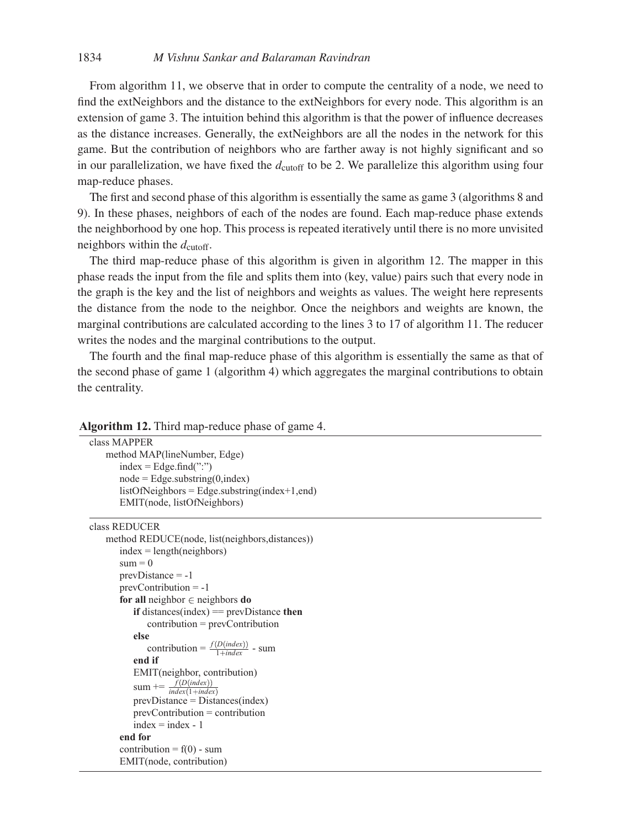From algorithm 11, we observe that in order to compute the centrality of a node, we need to find the extNeighbors and the distance to the extNeighbors for every node. This algorithm is an extension of game 3. The intuition behind this algorithm is that the power of influence decreases as the distance increases. Generally, the extNeighbors are all the nodes in the network for this game. But the contribution of neighbors who are farther away is not highly significant and so in our parallelization, we have fixed the  $d_{\text{cutoff}}$  to be 2. We parallelize this algorithm using four map-reduce phases.

The first and second phase of this algorithm is essentially the same as game 3 (algorithms 8 and 9). In these phases, neighbors of each of the nodes are found. Each map-reduce phase extends the neighborhood by one hop. This process is repeated iteratively until there is no more unvisited neighbors within the  $d_{\text{cutoff}}$ .

The third map-reduce phase of this algorithm is given in algorithm 12. The mapper in this phase reads the input from the file and splits them into (key, value) pairs such that every node in the graph is the key and the list of neighbors and weights as values. The weight here represents the distance from the node to the neighbor. Once the neighbors and weights are known, the marginal contributions are calculated according to the lines 3 to 17 of algorithm 11. The reducer writes the nodes and the marginal contributions to the output.

The fourth and the final map-reduce phase of this algorithm is essentially the same as that of the second phase of game 1 (algorithm 4) which aggregates the marginal contributions to obtain the centrality.

#### **Algorithm 12.** Third map-reduce phase of game 4.

```
class MAPPER
   method MAP(lineNumber, Edge)
       index = Edge.find(":")node = Edge.substring(0,index)listOfNeighbors = Edge.substring(index+1,end)
       EMIT(node, listOfNeighbors)
class REDUCER
   method REDUCE(node, list(neighbors,distances))
       index = length(neighbors)sum = 0prevDistance = -1
       prevContribution = -1
       for all neighbor \in neighbors do
          if distances(index) == prevDistance then
             contribution = prevContribution
          else
              contribution = \frac{f(Dʻindex)) - sumend if
          EMIT(neighbor, contribution)
          sum \neq \frac{f(Dʻindex<math>(1 + index))prevDistance = Distances(index)
          prevContribution = contribution
          index = index - 1end for
       contribution = f(0) - sum
       EMIT(node, contribution)
```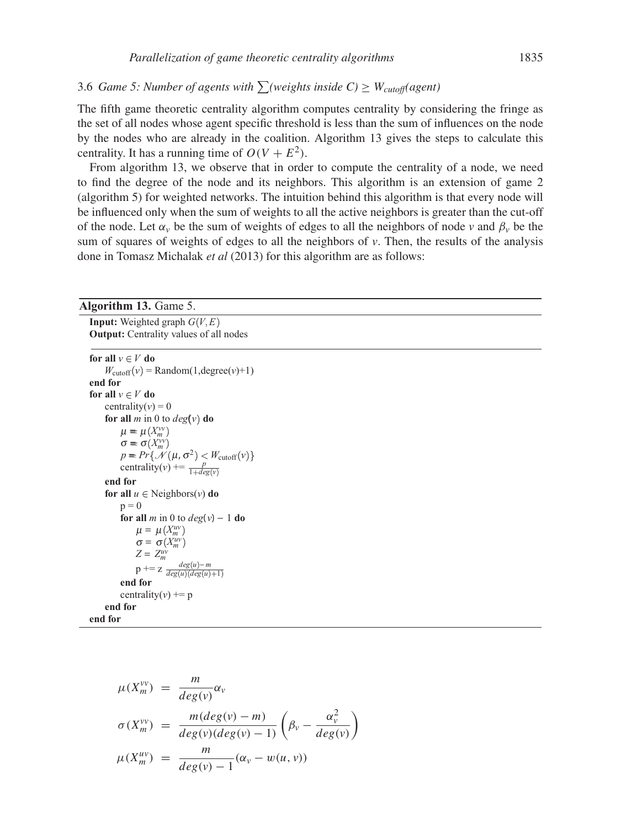# 3.6 *Game 5: Number of agents with*  $\sum$  (weights inside  $C$ )  $\geq$   $W_{cutoff}$  (agent)

The fifth game theoretic centrality algorithm computes centrality by considering the fringe as the set of all nodes whose agent specific threshold is less than the sum of influences on the node by the nodes who are already in the coalition. Algorithm 13 gives the steps to calculate this centrality. It has a running time of  $O(V + E^2)$ .

From algorithm 13, we observe that in order to compute the centrality of a node, we need to find the degree of the node and its neighbors. This algorithm is an extension of game 2 (algorithm 5) for weighted networks. The intuition behind this algorithm is that every node will be influenced only when the sum of weights to all the active neighbors is greater than the cut-off of the node. Let  $\alpha$ <sub>*v*</sub> be the sum of weights of edges to all the neighbors of node *v* and  $\beta$ <sub>*v*</sub> be the sum of squares of weights of edges to all the neighbors of *v*. Then, the results of the analysis done in Tomasz Michalak *et al* (2013) for this algorithm are as follows:

# **Algorithm 13.** Game 5. **Input:** Weighted graph  $G(V, E)$ **Output:** Centrality values of all nodes **for all**  $v \in V$  **do**  $W_{\text{cutoff}}(v) = \text{Random}(1, \text{degree}(v) + 1)$ **end for for all**  $v \in V$  **do** centrality( $v$ ) = 0 **for all**  $m$  in 0 to  $deg(v)$  **do**  $\mu = \mu(X_m^{\vee\vee})$  $\sigma = \sigma(X_m^{\mathit{vv}})$  $p = Pr\{\mathcal{N}(\mu, \sigma^2) < W_{\text{cutoff}}(v)\}$ centrality(*v*) +=  $\frac{p}{1 + deg(v)}$ **end for for all**  $u \in$  Neighbors(*v*) **do**  $p=0$ **for all**  $m$  in 0 to  $deg(v) - 1$  **do**  $\mu = \mu(X_m^u)$ <sup>σ</sup> = <sup>σ</sup> *Xuv m*  $Z = Z_m^{uv}$  $p \mathrel{+}= z \frac{deg(u)-m}{deg(u)(deg(u)+1)}$ **end for** centrality( $v$ ) += p

**end for**

**end for**

$$
\mu(X_m^{\nu\nu}) = \frac{m}{deg(\nu)} \alpha_{\nu}
$$
  
\n
$$
\sigma(X_m^{\nu\nu}) = \frac{m(deg(\nu) - m)}{deg(\nu)(deg(\nu) - 1)} \left(\beta_{\nu} - \frac{\alpha_{\nu}^2}{deg(\nu)}\right)
$$
  
\n
$$
\mu(X_m^{\mu\nu}) = \frac{m}{deg(\nu) - 1} (\alpha_{\nu} - w(u, \nu))
$$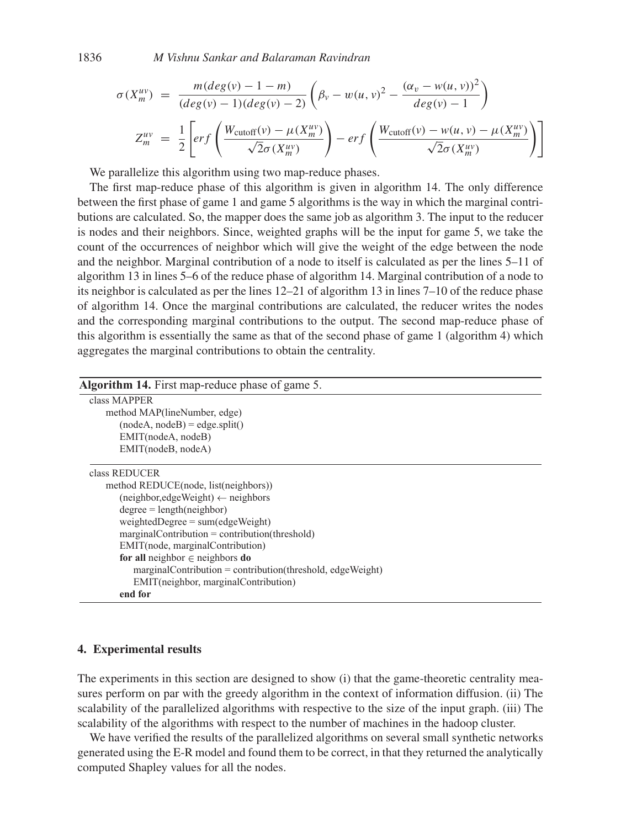1836 *M Vishnu Sankar and Balaraman Ravindran*

$$
\sigma(X_m^{uv}) = \frac{m(deg(v) - 1 - m)}{(deg(v) - 1)(deg(v) - 2)} \left(\beta_v - w(u, v)^2 - \frac{(\alpha_v - w(u, v))^2}{deg(v) - 1}\right)
$$
  

$$
Z_m^{uv} = \frac{1}{2} \left[ erf\left(\frac{W_{\text{cutoff}}(v) - \mu(X_m^{uv})}{\sqrt{2}\sigma(X_m^{uv})}\right) - erf\left(\frac{W_{\text{cutoff}}(v) - w(u, v) - \mu(X_m^{uv})}{\sqrt{2}\sigma(X_m^{uv})}\right) \right]
$$

We parallelize this algorithm using two map-reduce phases.

The first map-reduce phase of this algorithm is given in algorithm 14. The only difference between the first phase of game 1 and game 5 algorithms is the way in which the marginal contributions are calculated. So, the mapper does the same job as algorithm 3. The input to the reducer is nodes and their neighbors. Since, weighted graphs will be the input for game 5, we take the count of the occurrences of neighbor which will give the weight of the edge between the node and the neighbor. Marginal contribution of a node to itself is calculated as per the lines 5–11 of algorithm 13 in lines 5–6 of the reduce phase of algorithm 14. Marginal contribution of a node to its neighbor is calculated as per the lines 12–21 of algorithm 13 in lines 7–10 of the reduce phase of algorithm 14. Once the marginal contributions are calculated, the reducer writes the nodes and the corresponding marginal contributions to the output. The second map-reduce phase of this algorithm is essentially the same as that of the second phase of game 1 (algorithm 4) which aggregates the marginal contributions to obtain the centrality.

| <b>Algorithm 14.</b> First map-reduce phase of game 5.        |  |
|---------------------------------------------------------------|--|
| class MAPPER                                                  |  |
| method MAP(lineNumber, edge)                                  |  |
| $(nodeA, nodeB) = edge.split()$                               |  |
| EMIT(nodeA, nodeB)                                            |  |
| EMIT(nodeB, nodeA)                                            |  |
| class REDUCER                                                 |  |
| method REDUCE(node, list(neighbors))                          |  |
| $(neighbour, edgeWeight) \leftarrow neighbors$                |  |
| $degree = length(neighbour)$                                  |  |
| $weightedDegree = sum(edgeWeight)$                            |  |
| $marginalContribution = contribution (threshold)$             |  |
| EMIT(node, marginalContribution)                              |  |
| for all neighbor $\in$ neighbors do                           |  |
| $marginalContribution = contribution (threshold, edgeWeight)$ |  |
| EMIT(neighbor, marginal Contribution)                         |  |
| end for                                                       |  |

#### **4. Experimental results**

The experiments in this section are designed to show (i) that the game-theoretic centrality measures perform on par with the greedy algorithm in the context of information diffusion. (ii) The scalability of the parallelized algorithms with respective to the size of the input graph. (iii) The scalability of the algorithms with respect to the number of machines in the hadoop cluster.

We have verified the results of the parallelized algorithms on several small synthetic networks generated using the E-R model and found them to be correct, in that they returned the analytically computed Shapley values for all the nodes.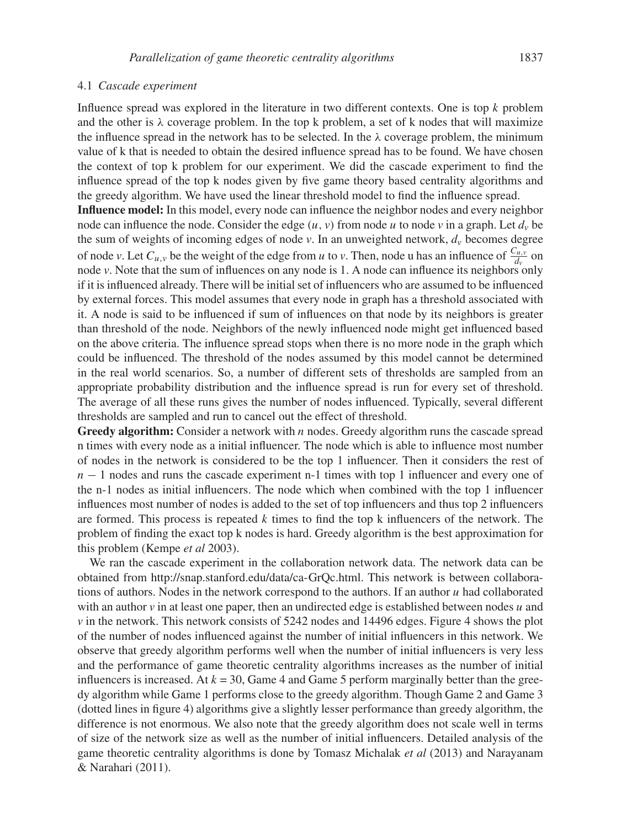#### 4.1 *Cascade experiment*

Influence spread was explored in the literature in two different contexts. One is top k problem and the other is  $\lambda$  coverage problem. In the top k problem, a set of k nodes that will maximize the influence spread in the network has to be selected. In the  $\lambda$  coverage problem, the minimum value of k that is needed to obtain the desired influence spread has to be found. We have chosen the context of top k problem for our experiment. We did the cascade experiment to find the influence spread of the top k nodes given by five game theory based centrality algorithms and the greedy algorithm. We have used the linear threshold model to find the influence spread.

**Influence model:** In this model, every node can influence the neighbor nodes and every neighbor node can influence the node. Consider the edge  $(u, v)$  from node u to node v in a graph. Let  $d<sub>v</sub>$  be the sum of weights of incoming edges of node *v*. In an unweighted network, d*<sup>v</sup>* becomes degree of node *v*. Let  $C_{u,v}$  be the weight of the edge from *u* to *v*. Then, node u has an influence of  $\frac{C_{u,v}}{d_v}$  on node *v*. Note that the sum of influences on any node is 1. A node can influence its neighbors only if it is influenced already. There will be initial set of influencers who are assumed to be influenced by external forces. This model assumes that every node in graph has a threshold associated with it. A node is said to be influenced if sum of influences on that node by its neighbors is greater than threshold of the node. Neighbors of the newly influenced node might get influenced based on the above criteria. The influence spread stops when there is no more node in the graph which could be influenced. The threshold of the nodes assumed by this model cannot be determined in the real world scenarios. So, a number of different sets of thresholds are sampled from an appropriate probability distribution and the influence spread is run for every set of threshold. The average of all these runs gives the number of nodes influenced. Typically, several different thresholds are sampled and run to cancel out the effect of threshold.

**Greedy algorithm:** Consider a network with *n* nodes. Greedy algorithm runs the cascade spread n times with every node as a initial influencer. The node which is able to influence most number of nodes in the network is considered to be the top 1 influencer. Then it considers the rest of  $n - 1$  nodes and runs the cascade experiment n-1 times with top 1 influencer and every one of the n-1 nodes as initial influencers. The node which when combined with the top 1 influencer influences most number of nodes is added to the set of top influencers and thus top 2 influencers are formed. This process is repeated  $k$  times to find the top  $k$  influencers of the network. The problem of finding the exact top k nodes is hard. Greedy algorithm is the best approximation for this problem (Kempe *et al* 2003).

We ran the cascade experiment in the collaboration network data. The network data can be obtained from http://snap.stanford.edu/data/ca-GrQc.html. This network is between collaborations of authors. Nodes in the network correspond to the authors. If an author  $u$  had collaborated with an author  $\nu$  in at least one paper, then an undirected edge is established between nodes  $\mu$  and *v* in the network. This network consists of 5242 nodes and 14496 edges. Figure 4 shows the plot of the number of nodes influenced against the number of initial influencers in this network. We observe that greedy algorithm performs well when the number of initial influencers is very less and the performance of game theoretic centrality algorithms increases as the number of initial influencers is increased. At  $k = 30$ , Game 4 and Game 5 perform marginally better than the greedy algorithm while Game 1 performs close to the greedy algorithm. Though Game 2 and Game 3 (dotted lines in figure 4) algorithms give a slightly lesser performance than greedy algorithm, the difference is not enormous. We also note that the greedy algorithm does not scale well in terms of size of the network size as well as the number of initial influencers. Detailed analysis of the game theoretic centrality algorithms is done by Tomasz Michalak *et al* (2013) and Narayanam & Narahari (2011).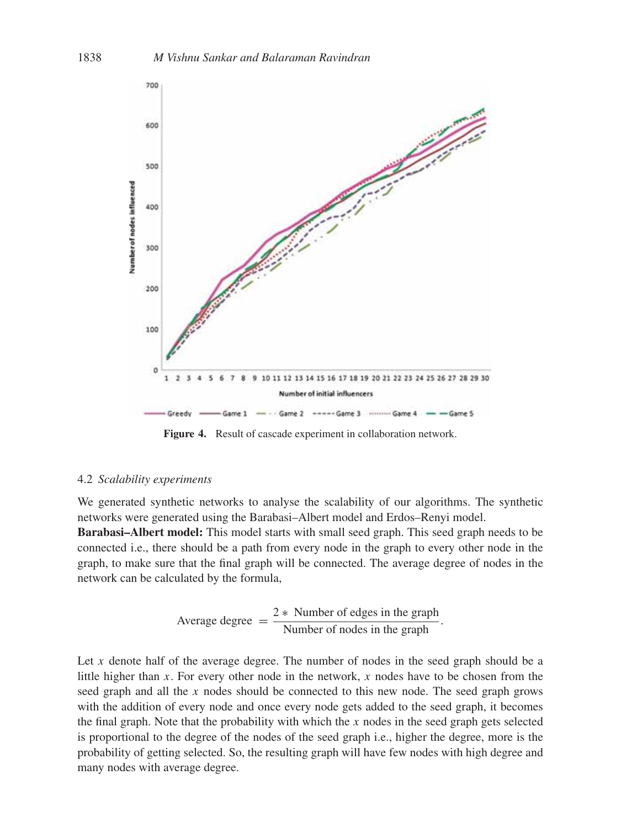

**Figure 4.** Result of cascade experiment in collaboration network.

#### 4.2 *Scalability experiments*

We generated synthetic networks to analyse the scalability of our algorithms. The synthetic networks were generated using the Barabasi–Albert model and Erdos–Renyi model.

**Barabasi–Albert model:** This model starts with small seed graph. This seed graph needs to be connected i.e., there should be a path from every node in the graph to every other node in the graph, to make sure that the final graph will be connected. The average degree of nodes in the network can be calculated by the formula,

Average degree 
$$
=
$$
  $\frac{2 * \text{ Number of edges in the graph}}{\text{Number of nodes in the graph}}.$ 

Let  $x$  denote half of the average degree. The number of nodes in the seed graph should be a little higher than  $x$ . For every other node in the network,  $x$  nodes have to be chosen from the seed graph and all the x nodes should be connected to this new node. The seed graph grows with the addition of every node and once every node gets added to the seed graph, it becomes the final graph. Note that the probability with which the  $x$  nodes in the seed graph gets selected is proportional to the degree of the nodes of the seed graph i.e., higher the degree, more is the probability of getting selected. So, the resulting graph will have few nodes with high degree and many nodes with average degree.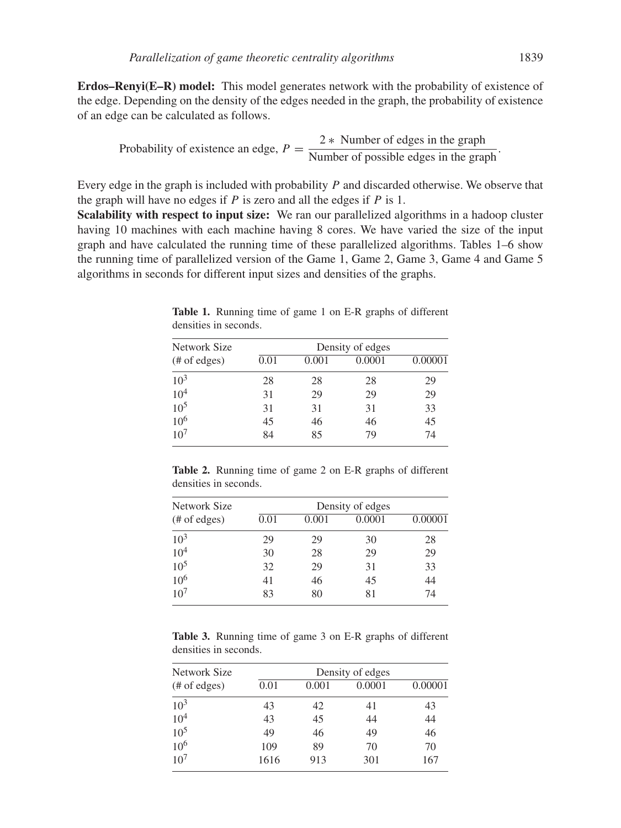**Erdos–Renyi(E–R) model:** This model generates network with the probability of existence of the edge. Depending on the density of the edges needed in the graph, the probability of existence of an edge can be calculated as follows.

Probability of existence an edge, 
$$
P = \frac{2 * \text{ Number of edges in the graph}}{\text{Number of possible edges in the graph}}.
$$

Every edge in the graph is included with probability P and discarded otherwise. We observe that the graph will have no edges if  $P$  is zero and all the edges if  $P$  is 1.

**Scalability with respect to input size:** We ran our parallelized algorithms in a hadoop cluster having 10 machines with each machine having 8 cores. We have varied the size of the input graph and have calculated the running time of these parallelized algorithms. Tables 1–6 show the running time of parallelized version of the Game 1, Game 2, Game 3, Game 4 and Game 5 algorithms in seconds for different input sizes and densities of the graphs.

| Network Size            | Density of edges |       |        |         |
|-------------------------|------------------|-------|--------|---------|
| $(\# \text{ of edges})$ | 0.01             | 0.001 | 0.0001 | 0.00001 |
| $10^{3}$                | 28               | 28    | 28     | 29      |
| 10 <sup>4</sup>         | 31               | 29    | 29     | 29      |
| 10 <sup>5</sup>         | 31               | 31    | 31     | 33      |
| $10^{6}$                | 45               | 46    | 46     | 45      |
| 10 <sup>7</sup>         | 84               | 85    | 79     | 74      |

**Table 1.** Running time of game 1 on E-R graphs of different densities in seconds.

**Table 2.** Running time of game 2 on E-R graphs of different densities in seconds.

| Network Size            | Density of edges |       |        |         |  |  |
|-------------------------|------------------|-------|--------|---------|--|--|
| $(\# \text{ of edges})$ | 0.01             | 0.001 | 0.0001 | 0.00001 |  |  |
| $10^{3}$                | 29               | 29    | 30     | 28      |  |  |
| $10^{4}$                | 30               | 28    | 29     | 29      |  |  |
| 10 <sup>5</sup>         | 32               | 29    | 31     | 33      |  |  |
| $10^{6}$                | 41               | 46    | 45     | 44      |  |  |
| 10 <sup>7</sup>         | 83               | 80    | 81     | 74      |  |  |

**Table 3.** Running time of game 3 on E-R graphs of different densities in seconds.

| Network Size    |      | Density of edges |        |         |  |  |
|-----------------|------|------------------|--------|---------|--|--|
| $#$ of edges)   | 0.01 | 0.001            | 0.0001 | 0.00001 |  |  |
| $10^{3}$        | 43   | 42               | 41     | 43      |  |  |
| 10 <sup>4</sup> | 43   | 45               | 44     | 44      |  |  |
| 10 <sup>5</sup> | 49   | 46               | 49     | 46      |  |  |
| 10 <sup>6</sup> | 109  | 89               | 70     | 70      |  |  |
| 10 <sup>7</sup> | 1616 | 913              | 301    | 167     |  |  |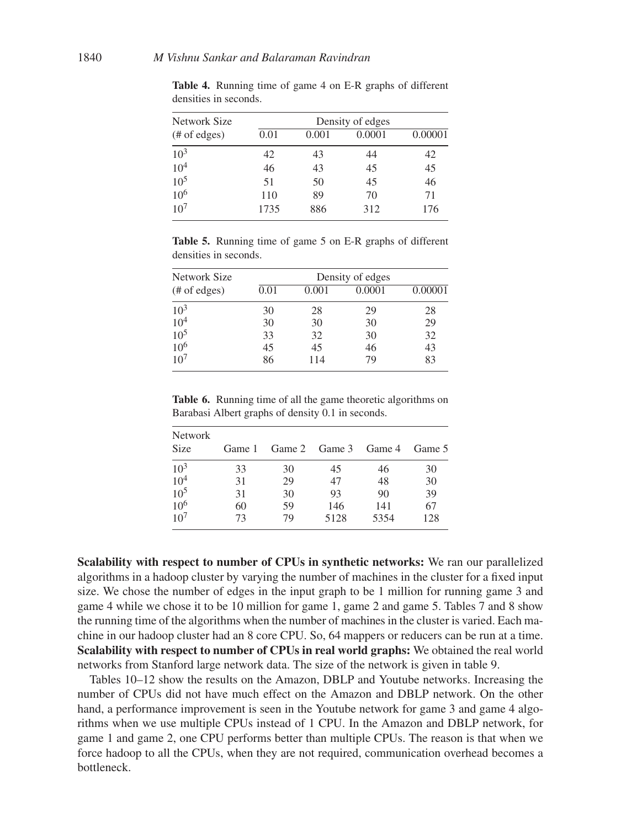| Network Size            | Density of edges |       |        |         |  |  |
|-------------------------|------------------|-------|--------|---------|--|--|
| $(\# \text{ of edges})$ | 0.01             | 0.001 | 0.0001 | 0.00001 |  |  |
| $10^{3}$                | 42               | 43    | 44     | 42      |  |  |
| 10 <sup>4</sup>         | 46               | 43    | 45     | 45      |  |  |
| 10 <sup>5</sup>         | 51               | 50    | 45     | 46      |  |  |
| 10 <sup>6</sup>         | 110              | 89    | 70     | 71      |  |  |
| 10 <sup>7</sup>         | 1735             | 886   | 312    | 176     |  |  |

**Table 4.** Running time of game 4 on E-R graphs of different densities in seconds.

**Table 5.** Running time of game 5 on E-R graphs of different densities in seconds.

| Network Size            | Density of edges |       |        |         |  |  |
|-------------------------|------------------|-------|--------|---------|--|--|
| $(\# \text{ of edges})$ | 0.01             | 0.001 | 0.0001 | 0.00001 |  |  |
| $10^{3}$                | 30               | 28    | 29     | 28      |  |  |
| 10 <sup>4</sup>         | 30               | 30    | 30     | 29      |  |  |
| 10 <sup>5</sup>         | 33               | 32    | 30     | 32      |  |  |
| 10 <sup>6</sup>         | 45               | 45    | 46     | 43      |  |  |
| 10 <sup>7</sup>         | 86               | 114   | 79     | 83      |  |  |

**Table 6.** Running time of all the game theoretic algorithms on Barabasi Albert graphs of density 0.1 in seconds.

| <b>Network</b><br><b>Size</b> | Game 1 |    | Game 2 Game 3 Game 4 |      | Game 5 |
|-------------------------------|--------|----|----------------------|------|--------|
| $10^{3}$                      | 33     | 30 | 45                   | 46   | 30     |
| $10^{4}$                      | 31     | 29 | 47                   | 48   | 30     |
| $10^{5}$                      | 31     | 30 | 93                   | 90   | 39     |
| $10^{6}$                      | 60     | 59 | 146                  | 141  | 67     |
| 10 <sup>7</sup>               | 73     | 79 | 5128                 | 5354 | 128    |

**Scalability with respect to number of CPUs in synthetic networks:** We ran our parallelized algorithms in a hadoop cluster by varying the number of machines in the cluster for a fixed input size. We chose the number of edges in the input graph to be 1 million for running game 3 and game 4 while we chose it to be 10 million for game 1, game 2 and game 5. Tables 7 and 8 show the running time of the algorithms when the number of machines in the cluster is varied. Each machine in our hadoop cluster had an 8 core CPU. So, 64 mappers or reducers can be run at a time. **Scalability with respect to number of CPUs in real world graphs:** We obtained the real world networks from Stanford large network data. The size of the network is given in table 9.

Tables 10–12 show the results on the Amazon, DBLP and Youtube networks. Increasing the number of CPUs did not have much effect on the Amazon and DBLP network. On the other hand, a performance improvement is seen in the Youtube network for game 3 and game 4 algorithms when we use multiple CPUs instead of 1 CPU. In the Amazon and DBLP network, for game 1 and game 2, one CPU performs better than multiple CPUs. The reason is that when we force hadoop to all the CPUs, when they are not required, communication overhead becomes a bottleneck.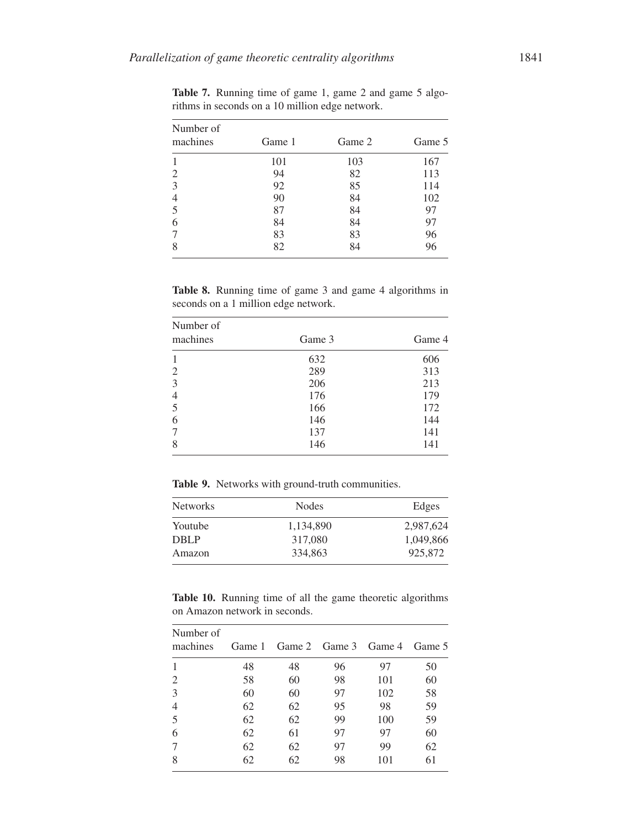| Number of<br>machines | Game 1 | Game 2 | Game 5 |
|-----------------------|--------|--------|--------|
|                       | 101    | 103    | 167    |
| 2                     | 94     | 82     | 113    |
| 3                     | 92     | 85     | 114    |
|                       | 90     | 84     | 102    |
| 5                     | 87     | 84     | 97     |
| 6                     | 84     | 84     | 97     |
|                       | 83     | 83     | 96     |
|                       | 82     | 84     | 96     |

Table 7. Running time of game 1, game 2 and game 5 algorithms in seconds on a 10 million edge network.

**Table 8.** Running time of game 3 and game 4 algorithms in seconds on a 1 million edge network.

| Number of<br>machines | Game 3 | Game 4 |
|-----------------------|--------|--------|
|                       | 632    | 606    |
| 2                     | 289    | 313    |
| 3                     | 206    | 213    |
| $\overline{4}$        | 176    | 179    |
| 5                     | 166    | 172    |
| 6                     | 146    | 144    |
|                       | 137    | 141    |
| 8                     | 146    | 141    |

**Table 9.** Networks with ground-truth communities.

| <b>Networks</b> | Nodes     | Edges     |
|-----------------|-----------|-----------|
| Youtube         | 1,134,890 | 2,987,624 |
| <b>DBLP</b>     | 317,080   | 1,049,866 |
| Amazon          | 334,863   | 925,872   |

**Table 10.** Running time of all the game theoretic algorithms on Amazon network in seconds.

| Number of<br>machines |    | Game 1 Game 2 Game 3 Game 4 |    |     | Game 5 |
|-----------------------|----|-----------------------------|----|-----|--------|
|                       | 48 | 48                          | 96 | 97  | 50     |
| 2                     | 58 | 60                          | 98 | 101 | 60     |
| 3                     | 60 | 60                          | 97 | 102 | 58     |
| 4                     | 62 | 62                          | 95 | 98  | 59     |
| 5                     | 62 | 62                          | 99 | 100 | 59     |
| 6                     | 62 | 61                          | 97 | 97  | 60     |
|                       | 62 | 62                          | 97 | 99  | 62     |
| 8                     | 62 | 62                          | 98 | 101 | 61     |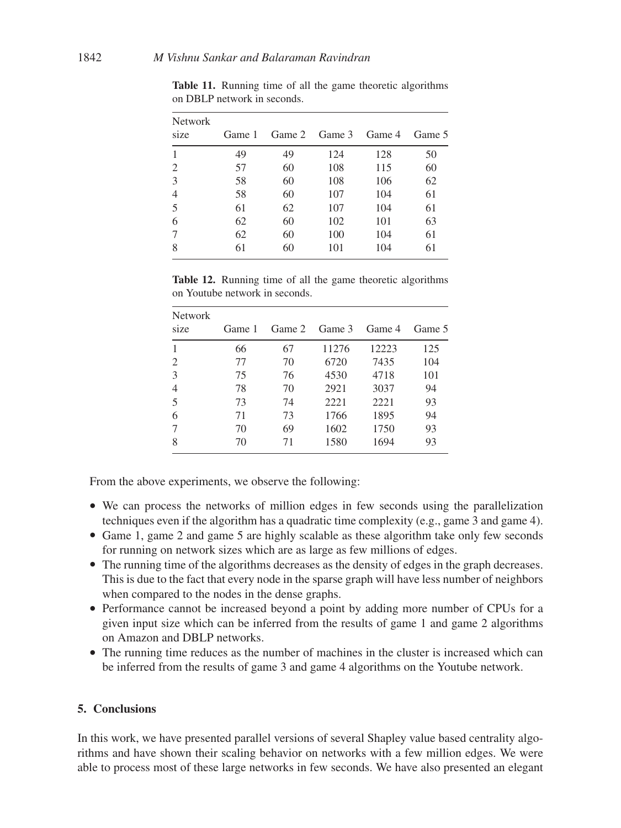| <b>Network</b><br>size | Game 1 |    | Game 2 Game 3 | Game 4 | Game 5 |
|------------------------|--------|----|---------------|--------|--------|
|                        | 49     | 49 | 124           | 128    | 50     |
| 2                      | 57     | 60 | 108           | 115    | 60     |
| 3                      | 58     | 60 | 108           | 106    | 62     |
| $\overline{4}$         | 58     | 60 | 107           | 104    | 61     |
| 5                      | 61     | 62 | 107           | 104    | 61     |
| 6                      | 62     | 60 | 102           | 101    | 63     |
| 7                      | 62     | 60 | 100           | 104    | 61     |
| 8                      | 61     | 60 | 101           | 104    | 61     |

**Table 11.** Running time of all the game theoretic algorithms on DBLP network in seconds.

**Table 12.** Running time of all the game theoretic algorithms on Youtube network in seconds.

| <b>Network</b><br>size | Game 1 | Game 2 | Game 3 | Game 4 | Game 5 |
|------------------------|--------|--------|--------|--------|--------|
|                        | 66     | 67     | 11276  | 12223  | 125    |
| 2                      | 77     | 70     | 6720   | 7435   | 104    |
| 3                      | 75     | 76     | 4530   | 4718   | 101    |
| $\overline{4}$         | 78     | 70     | 2921   | 3037   | 94     |
| 5                      | 73     | 74     | 2221   | 2221   | 93     |
| 6                      | 71     | 73     | 1766   | 1895   | 94     |
|                        | 70     | 69     | 1602   | 1750   | 93     |
| 8                      | 70     | 71     | 1580   | 1694   | 93     |

From the above experiments, we observe the following:

- We can process the networks of million edges in few seconds using the parallelization techniques even if the algorithm has a quadratic time complexity (e.g., game 3 and game 4).
- Game 1, game 2 and game 5 are highly scalable as these algorithm take only few seconds for running on network sizes which are as large as few millions of edges.
- The running time of the algorithms decreases as the density of edges in the graph decreases. This is due to the fact that every node in the sparse graph will have less number of neighbors when compared to the nodes in the dense graphs.
- Performance cannot be increased beyond a point by adding more number of CPUs for a given input size which can be inferred from the results of game 1 and game 2 algorithms on Amazon and DBLP networks.
- The running time reduces as the number of machines in the cluster is increased which can be inferred from the results of game 3 and game 4 algorithms on the Youtube network.

# **5. Conclusions**

In this work, we have presented parallel versions of several Shapley value based centrality algorithms and have shown their scaling behavior on networks with a few million edges. We were able to process most of these large networks in few seconds. We have also presented an elegant